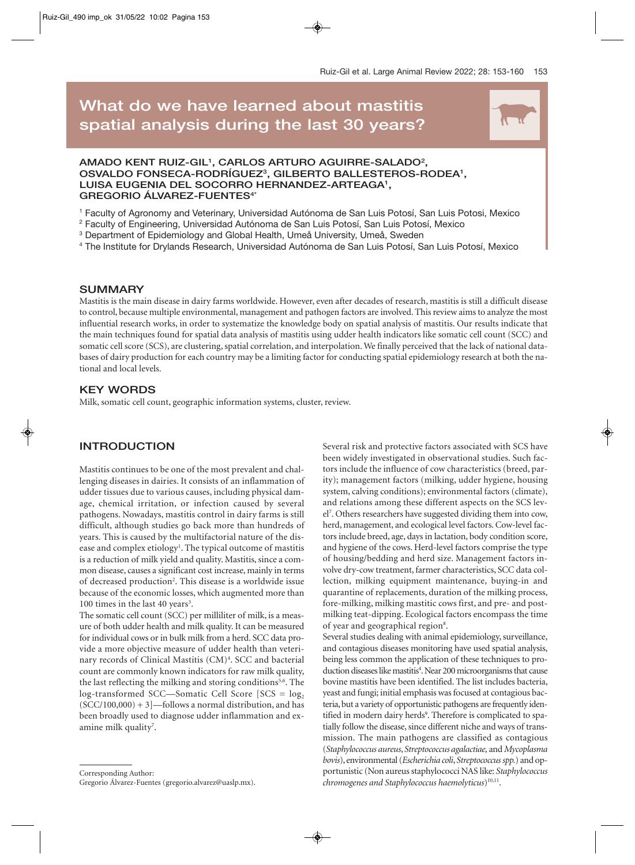# **What do we have learned about mastitis**  spatial analysis during the last 30 years?



#### **AMADO KENT RUIZ-GIL1 , CARLOS ARTURO AGUIRRE-SALADO2 ,**  OSVALDO FONSECA-RODRÍGUEZ<sup>3</sup>, GILBERTO BALLESTEROS-RODEA<sup>1</sup>, **LUISA EUGENIA DEL SOCORRO HERNANDEZ-ARTEAGA1 , GREGORIO ÁLVAREZ-FUENTES4\***

<sup>1</sup> Faculty of Agronomy and Veterinary, Universidad Autónoma de San Luis Potosí, San Luis Potosi, Mexico

<sup>2</sup> Faculty of Engineering, Universidad Autónoma de San Luis Potosí, San Luis Potosí, Mexico

<sup>3</sup> Department of Epidemiology and Global Health, Umeå University, Umeå, Sweden

<sup>4</sup> The Institute for Drylands Research, Universidad Autónoma de San Luis Potosí, San Luis Potosí, Mexico

#### **SUMMARY**

Mastitis is the main disease in dairy farms worldwide. However, even after decades of research, mastitis is still a difficult disease to control, because multiple environmental, management and pathogen factors are involved. This review aims to analyze the most influential research works, in order to systematize the knowledge body on spatial analysis of mastitis. Our results indicate that the main techniques found for spatial data analysis of mastitis using udder health indicators like somatic cell count (SCC) and somatic cell score (SCS), are clustering, spatial correlation, and interpolation. We finally perceived that the lack of national databases of dairy production for each country may be a limiting factor for conducting spatial epidemiology research at both the national and local levels.

## **KEY WORDS**

Milk, somatic cell count, geographic information systems, cluster, review.

## **INTRODUCTION**

Mastitis continues to be one of the most prevalent and challenging diseases in dairies. It consists of an inflammation of udder tissues due to various causes, including physical damage, chemical irritation, or infection caused by several pathogens. Nowadays, mastitis control in dairy farms is still difficult, although studies go back more than hundreds of years. This is caused by the multifactorial nature of the disease and complex etiology<sup>1</sup>. The typical outcome of mastitis is a reduction of milk yield and quality. Mastitis, since a common disease, causes a significant cost increase, mainly in terms of decreased production<sup>2</sup>. This disease is a worldwide issue because of the economic losses, which augmented more than 100 times in the last 40 years<sup>3</sup>.

The somatic cell count (SCC) per milliliter of milk, is a measure of both udder health and milk quality. It can be measured for individual cows or in bulk milk from a herd. SCC data provide a more objective measure of udder health than veterinary records of Clinical Mastitis (CM)<sup>4</sup>. SCC and bacterial count are commonly known indicators for raw milk quality, the last reflecting the milking and storing conditions<sup>5,6</sup>. The log-transformed SCC—Somatic Cell Score  $[SCS = log<sub>2</sub>$  $(SCC/100,000) + 3$  -follows a normal distribution, and has been broadly used to diagnose udder inflammation and examine milk quality<sup>7</sup>.

Corresponding Author:

Gregorio Álvarez-Fuentes (gregorio.alvarez@uaslp.mx).

Several risk and protective factors associated with SCS have been widely investigated in observational studies. Such factors include the influence of cow characteristics (breed, parity); management factors (milking, udder hygiene, housing system, calving conditions); environmental factors (climate), and relations among these different aspects on the SCS level7 . Others researchers have suggested dividing them into cow, herd, management, and ecological level factors. Cow-level factors include breed, age, days in lactation, body condition score, and hygiene of the cows. Herd-level factors comprise the type of housing/bedding and herd size. Management factors involve dry-cow treatment, farmer characteristics, SCC data collection, milking equipment maintenance, buying-in and quarantine of replacements, duration of the milking process, fore-milking, milking mastitic cows first, and pre- and postmilking teat-dipping. Ecological factors encompass the time of year and geographical region<sup>8</sup>.

Several studies dealing with animal epidemiology, surveillance, and contagious diseases monitoring have used spatial analysis, being less common the application of these techniques to production diseases like mastitis<sup>4</sup>. Near 200 microorganisms that cause bovine mastitis have been identified. The list includes bacteria, yeast and fungi; initial emphasis was focused at contagious bacteria, but a variety of opportunistic pathogens are frequently identified in modern dairy herds<sup>9</sup>. Therefore is complicated to spatially follow the disease, since different niche and ways of transmission. The main pathogens are classified as contagious (*Staphylococcus aureus*, *Streptococcus agalactiae,* and *Mycoplasma bovis*), environmental (*Escherichia coli*, *Streptococcus spp.*) and opportunistic (Non aureus staphylococci NAS like: *Staphylococcus chromogenes and Staphylococcus haemolyticus*)10,11.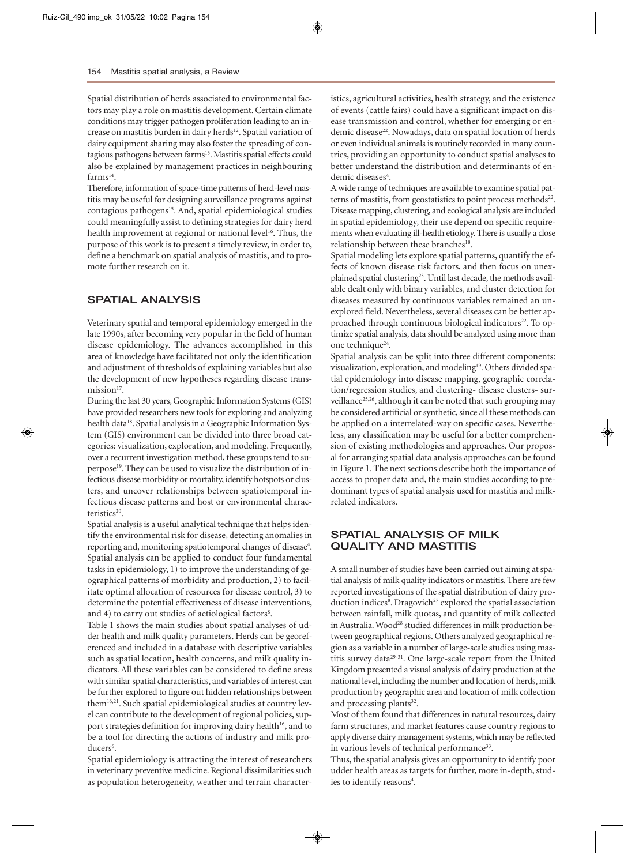Spatial distribution of herds associated to environmental factors may play a role on mastitis development. Certain climate conditions may trigger pathogen proliferation leading to an increase on mastitis burden in dairy herds<sup>12</sup>. Spatial variation of dairy equipment sharing may also foster the spreading of contagious pathogens between farms<sup>13</sup>. Mastitis spatial effects could also be explained by management practices in neighbouring farms<sup>14</sup>.

Therefore, information of space-time patterns of herd-level mastitis may be useful for designing surveillance programs against contagious pathogens<sup>15</sup>. And, spatial epidemiological studies could meaningfully assist to defining strategies for dairy herd health improvement at regional or national level<sup>16</sup>. Thus, the purpose of this work is to present a timely review, in order to, define a benchmark on spatial analysis of mastitis, and to promote further research on it.

## **SPATIAL ANALYSIS**

Veterinary spatial and temporal epidemiology emerged in the late 1990s, after becoming very popular in the field of human disease epidemiology. The advances accomplished in this area of knowledge have facilitated not only the identification and adjustment of thresholds of explaining variables but also the development of new hypotheses regarding disease transmission<sup>17</sup>.

During the last 30 years, Geographic Information Systems (GIS) have provided researchers new tools for exploring and analyzing health data<sup>18</sup>. Spatial analysis in a Geographic Information System (GIS) environment can be divided into three broad categories: visualization, exploration, and modeling. Frequently, over a recurrent investigation method, these groups tend to superpose19. They can be used to visualize the distribution of infectious disease morbidity or mortality, identify hotspots or clusters, and uncover relationships between spatiotemporal infectious disease patterns and host or environmental characteristics<sup>20</sup>.

Spatial analysis is a useful analytical technique that helps identify the environmental risk for disease, detecting anomalies in reporting and, monitoring spatiotemporal changes of disease<sup>4</sup>. Spatial analysis can be applied to conduct four fundamental tasks in epidemiology, 1) to improve the understanding of geographical patterns of morbidity and production, 2) to facilitate optimal allocation of resources for disease control, 3) to determine the potential effectiveness of disease interventions, and 4) to carry out studies of aetiological factors<sup>8</sup>.

Table 1 shows the main studies about spatial analyses of udder health and milk quality parameters. Herds can be georeferenced and included in a database with descriptive variables such as spatial location, health concerns, and milk quality indicators. All these variables can be considered to define areas with similar spatial characteristics, and variables of interest can be further explored to figure out hidden relationships between them16,21. Such spatial epidemiological studies at country level can contribute to the development of regional policies, support strategies definition for improving dairy health<sup>16</sup>, and to be a tool for directing the actions of industry and milk producers<sup>6</sup>.

Spatial epidemiology is attracting the interest of researchers in veterinary preventive medicine. Regional dissimilarities such as population heterogeneity, weather and terrain characteristics, agricultural activities, health strategy, and the existence of events (cattle fairs) could have a significant impact on disease transmission and control, whether for emerging or endemic disease<sup>22</sup>. Nowadays, data on spatial location of herds or even individual animals is routinely recorded in many countries, providing an opportunity to conduct spatial analyses to better understand the distribution and determinants of endemic diseases<sup>4</sup>.

A wide range of techniques are available to examine spatial patterns of mastitis, from geostatistics to point process methods $22$ . Disease mapping, clustering, and ecological analysis are included in spatial epidemiology, their use depend on specific requirements when evaluating ill-health etiology. There is usually a close relationship between these branches<sup>18</sup>.

Spatial modeling lets explore spatial patterns, quantify the effects of known disease risk factors, and then focus on unexplained spatial clustering<sup>23</sup>. Until last decade, the methods available dealt only with binary variables, and cluster detection for diseases measured by continuous variables remained an unexplored field. Nevertheless, several diseases can be better approached through continuous biological indicators<sup>22</sup>. To optimize spatial analysis, data should be analyzed using more than one technique<sup>24</sup>.

Spatial analysis can be split into three different components: visualization, exploration, and modeling<sup>19</sup>. Others divided spatial epidemiology into disease mapping, geographic correlation/regression studies, and clustering- disease clusters- surveillance<sup>25,26</sup>, although it can be noted that such grouping may be considered artificial or synthetic, since all these methods can be applied on a interrelated-way on specific cases. Nevertheless, any classification may be useful for a better comprehension of existing methodologies and approaches. Our proposal for arranging spatial data analysis approaches can be found in Figure 1. The next sections describe both the importance of access to proper data and, the main studies according to predominant types of spatial analysis used for mastitis and milkrelated indicators.

## **SPATIAL ANALYSIS OF MILK QUALITY AND MASTITIS**

A small number of studies have been carried out aiming at spatial analysis of milk quality indicators or mastitis. There are few reported investigations of the spatial distribution of dairy production indices<sup>8</sup>. Dragovich<sup>27</sup> explored the spatial association between rainfall, milk quotas, and quantity of milk collected in Australia. Wood<sup>28</sup> studied differences in milk production between geographical regions. Others analyzed geographical region as a variable in a number of large-scale studies using mastitis survey data29-31. One large-scale report from the United Kingdom presented a visual analysis of dairy production at the national level, including the number and location of herds, milk production by geographic area and location of milk collection and processing plants<sup>32</sup>.

Most of them found that differences in natural resources, dairy farm structures, and market features cause country regions to apply diverse dairy management systems, which may be reflected in various levels of technical performance<sup>33</sup>.

Thus, the spatial analysis gives an opportunity to identify poor udder health areas as targets for further, more in-depth, studies to identify reasons<sup>4</sup>.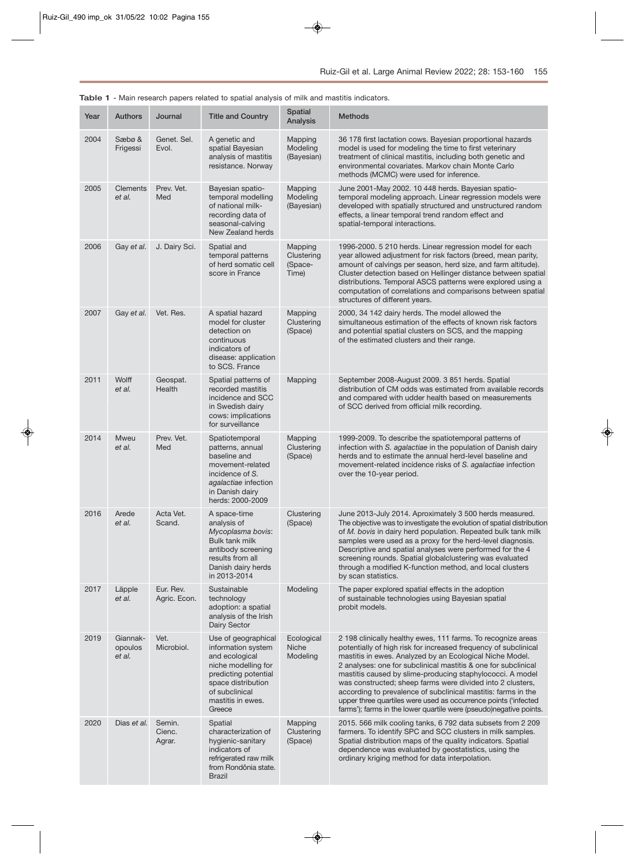| <b>Table 1</b> - Main research papers related to spatial analysis of milk and mastitis indicators. |                               |                           |                                                                                                                                                                                   |                                           |                                                                                                                                                                                                                                                                                                                                                                                                                                                                                                                                                                                                    |  |
|----------------------------------------------------------------------------------------------------|-------------------------------|---------------------------|-----------------------------------------------------------------------------------------------------------------------------------------------------------------------------------|-------------------------------------------|----------------------------------------------------------------------------------------------------------------------------------------------------------------------------------------------------------------------------------------------------------------------------------------------------------------------------------------------------------------------------------------------------------------------------------------------------------------------------------------------------------------------------------------------------------------------------------------------------|--|
| Year                                                                                               | <b>Authors</b>                | Journal                   | <b>Title and Country</b>                                                                                                                                                          | <b>Spatial</b><br>Analysis                | <b>Methods</b>                                                                                                                                                                                                                                                                                                                                                                                                                                                                                                                                                                                     |  |
| 2004                                                                                               | Sæbø &<br>Frigessi            | Genet. Sel.<br>Evol.      | A genetic and<br>spatial Bayesian<br>analysis of mastitis<br>resistance. Norway                                                                                                   | Mapping<br>Modeling<br>(Bayesian)         | 36 178 first lactation cows. Bayesian proportional hazards<br>model is used for modeling the time to first veterinary<br>treatment of clinical mastitis, including both genetic and<br>environmental covariates. Markov chain Monte Carlo<br>methods (MCMC) were used for inference.                                                                                                                                                                                                                                                                                                               |  |
| 2005                                                                                               | <b>Clements</b><br>et al.     | Prev. Vet.<br>Med         | Bayesian spatio-<br>temporal modelling<br>of national milk-<br>recording data of<br>seasonal-calving<br>New Zealand herds                                                         | Mapping<br>Modeling<br>(Bayesian)         | June 2001-May 2002. 10 448 herds. Bayesian spatio-<br>temporal modeling approach. Linear regression models were<br>developed with spatially structured and unstructured random<br>effects, a linear temporal trend random effect and<br>spatial-temporal interactions.                                                                                                                                                                                                                                                                                                                             |  |
| 2006                                                                                               | Gay et al.                    | J. Dairy Sci.             | Spatial and<br>temporal patterns<br>of herd somatic cell<br>score in France                                                                                                       | Mapping<br>Clustering<br>(Space-<br>Time) | 1996-2000. 5 210 herds. Linear regression model for each<br>year allowed adjustment for risk factors (breed, mean parity,<br>amount of calvings per season, herd size, and farm altitude).<br>Cluster detection based on Hellinger distance between spatial<br>distributions. Temporal ASCS patterns were explored using a<br>computation of correlations and comparisons between spatial<br>structures of different years.                                                                                                                                                                        |  |
| 2007                                                                                               | Gay et al.                    | Vet. Res.                 | A spatial hazard<br>model for cluster<br>detection on<br>continuous<br>indicators of<br>disease: application<br>to SCS. France                                                    | Mapping<br>Clustering<br>(Space)          | 2000, 34 142 dairy herds. The model allowed the<br>simultaneous estimation of the effects of known risk factors<br>and potential spatial clusters on SCS, and the mapping<br>of the estimated clusters and their range.                                                                                                                                                                                                                                                                                                                                                                            |  |
| 2011                                                                                               | Wolff<br>et al.               | Geospat.<br>Health        | Spatial patterns of<br>recorded mastitis<br>incidence and SCC<br>in Swedish dairy<br>cows: implications<br>for surveillance                                                       | Mapping                                   | September 2008-August 2009. 3 851 herds. Spatial<br>distribution of CM odds was estimated from available records<br>and compared with udder health based on measurements<br>of SCC derived from official milk recording.                                                                                                                                                                                                                                                                                                                                                                           |  |
| 2014                                                                                               | <b>Mweu</b><br>et al.         | Prev. Vet.<br>Med         | Spatiotemporal<br>patterns, annual<br>baseline and<br>movement-related<br>incidence of S.<br>agalactiae infection<br>in Danish dairy<br>herds: 2000-2009                          | Mapping<br>Clustering<br>(Space)          | 1999-2009. To describe the spatiotemporal patterns of<br>infection with S. agalactiae in the population of Danish dairy<br>herds and to estimate the annual herd-level baseline and<br>movement-related incidence risks of S. agalactiae infection<br>over the 10-year period.                                                                                                                                                                                                                                                                                                                     |  |
| 2016                                                                                               | Arede<br>et al.               | Acta Vet.<br>Scand.       | A space-time<br>analysis of<br>Mycoplasma bovis:<br>Bulk tank milk<br>antibody screening<br>results from all<br>Danish dairy herds<br>in 2013-2014                                | Clustering<br>(Space)                     | June 2013-July 2014. Aproximately 3 500 herds measured.<br>The objective was to investigate the evolution of spatial distribution<br>of M. bovis in dairy herd population. Repeated bulk tank milk<br>samples were used as a proxy for the herd-level diagnosis.<br>Descriptive and spatial analyses were performed for the 4<br>screening rounds. Spatial globalclustering was evaluated<br>through a modified K-function method, and local clusters<br>by scan statistics.                                                                                                                       |  |
| 2017                                                                                               | Läpple<br>et al.              | Eur. Rev.<br>Agric. Econ. | Sustainable<br>technology<br>adoption: a spatial<br>analysis of the Irish<br>Dairy Sector                                                                                         | Modeling                                  | The paper explored spatial effects in the adoption<br>of sustainable technologies using Bayesian spatial<br>probit models.                                                                                                                                                                                                                                                                                                                                                                                                                                                                         |  |
| 2019                                                                                               | Giannak-<br>opoulos<br>et al. | Vet.<br>Microbiol.        | Use of geographical<br>information system<br>and ecological<br>niche modelling for<br>predicting potential<br>space distribution<br>of subclinical<br>mastitis in ewes.<br>Greece | Ecological<br>Niche<br>Modeling           | 2 198 clinically healthy ewes, 111 farms. To recognize areas<br>potentially of high risk for increased frequency of subclinical<br>mastitis in ewes. Analyzed by an Ecological Niche Model.<br>2 analyses: one for subclinical mastitis & one for subclinical<br>mastitis caused by slime-producing staphylococci. A model<br>was constructed; sheep farms were divided into 2 clusters,<br>according to prevalence of subclinical mastitis: farms in the<br>upper three quartiles were used as occurrence points ('infected<br>farms'); farms in the lower quartile were (pseudo)negative points. |  |
| 2020                                                                                               | Dias et al. Semin.            |                           | Spatial                                                                                                                                                                           | Mapping                                   | 2015. 566 milk cooling tanks, 6 792 data subsets from 2 209                                                                                                                                                                                                                                                                                                                                                                                                                                                                                                                                        |  |

from Rondônia state.

Brazil

**Table 1** - Main research papers related to spatial analysis of milk and mastitis indicators.

| Semin. | Spatial               | Mapping    | 2015. 566 milk cooling tanks, 6 792 data subsets from 2 209  |
|--------|-----------------------|------------|--------------------------------------------------------------|
| Cienc. | characterization of   | Clustering | farmers. To identify SPC and SCC clusters in milk samples.   |
| Agrar. | hygienic-sanitary     | (Space)    | Spatial distribution maps of the quality indicators. Spatial |
|        | indicators of         |            | dependence was evaluated by geostatistics, using the         |
|        | refrigerated raw milk |            | ordinary kriging method for data interpolation.              |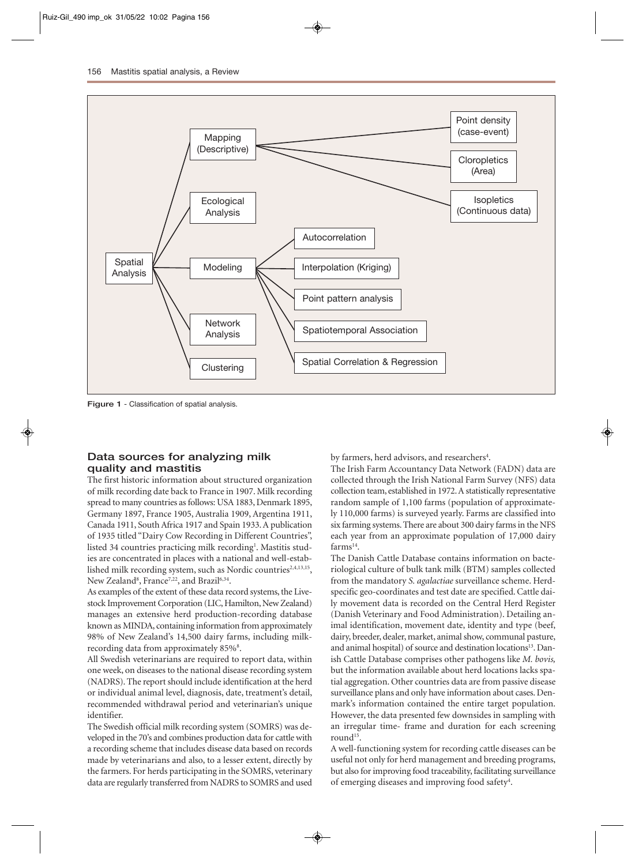

**Figure 1** - Classification of spatial analysis.

### **Data sources for analyzing milk quality and mastitis**

The first historic information about structured organization of milk recording date back to France in 1907. Milk recording spread to many countries as follows: USA 1883, Denmark 1895, Germany 1897, France 1905, Australia 1909, Argentina 1911, Canada 1911, South Africa 1917 and Spain 1933. A publication of 1935 titled "Dairy Cow Recording in Different Countries", listed 34 countries practicing milk recording<sup>1</sup>. Mastitis studies are concentrated in places with a national and well-established milk recording system, such as Nordic countries<sup>2,4,13,15</sup>, New Zealand<sup>8</sup>, France<sup>7,22</sup>, and Brazil<sup>6,34</sup>.

As examples of the extent of these data record systems, the Livestock Improvement Corporation (LIC, Hamilton, New Zealand) manages an extensive herd production-recording database known as MINDA, containing information from approximately 98% of New Zealand's 14,500 dairy farms, including milkrecording data from approximately 85%<sup>8</sup>.

All Swedish veterinarians are required to report data, within one week, on diseases to the national disease recording system (NADRS). The report should include identification at the herd or individual animal level, diagnosis, date, treatment's detail, recommended withdrawal period and veterinarian's unique identifier.

The Swedish official milk recording system (SOMRS) was developed in the 70's and combines production data for cattle with a recording scheme that includes disease data based on records made by veterinarians and also, to a lesser extent, directly by the farmers. For herds participating in the SOMRS, veterinary data are regularly transferred from NADRS to SOMRS and used by farmers, herd advisors, and researchers<sup>4</sup>.

The Irish Farm Accountancy Data Network (FADN) data are collected through the Irish National Farm Survey (NFS) data collection team, established in 1972. A statistically representative random sample of 1,100 farms (population of approximately 110,000 farms) is surveyed yearly. Farms are classified into six farming systems. There are about 300 dairy farms in the NFS each year from an approximate population of 17,000 dairy  $farms<sup>14</sup>$ .

The Danish Cattle Database contains information on bacteriological culture of bulk tank milk (BTM) samples collected from the mandatory *S. agalactiae* surveillance scheme. Herdspecific geo-coordinates and test date are specified. Cattle daily movement data is recorded on the Central Herd Register (Danish Veterinary and Food Administration). Detailing animal identification, movement date, identity and type (beef, dairy, breeder, dealer, market, animal show, communal pasture, and animal hospital) of source and destination locations<sup>13</sup>. Danish Cattle Database comprises other pathogens like *M. bovis,* but the information available about herd locations lacks spatial aggregation. Other countries data are from passive disease surveillance plans and only have information about cases. Denmark's information contained the entire target population. However, the data presented few downsides in sampling with an irregular time- frame and duration for each screening round<sup>15</sup>.

A well-functioning system for recording cattle diseases can be useful not only for herd management and breeding programs, but also for improving food traceability, facilitating surveillance of emerging diseases and improving food safety<sup>4</sup>.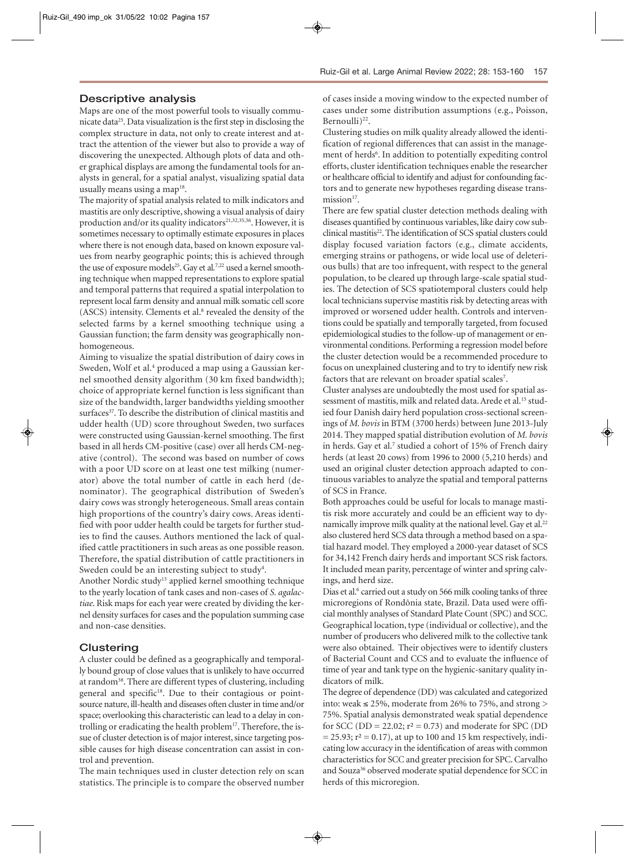#### **Descriptive analysis**

Maps are one of the most powerful tools to visually communicate data<sup>25</sup>. Data visualization is the first step in disclosing the complex structure in data, not only to create interest and attract the attention of the viewer but also to provide a way of discovering the unexpected. Although plots of data and other graphical displays are among the fundamental tools for analysts in general, for a spatial analyst, visualizing spatial data usually means using a map<sup>18</sup>.

The majority of spatial analysis related to milk indicators and mastitis are only descriptive, showing a visual analysis of dairy production and/or its quality indicators<sup>21,32,35,36</sup>. However, it is sometimes necessary to optimally estimate exposures in places where there is not enough data, based on known exposure values from nearby geographic points; this is achieved through the use of exposure models<sup>25</sup>. Gay et al.<sup>7,22</sup> used a kernel smoothing technique when mapped representations to explore spatial and temporal patterns that required a spatial interpolation to represent local farm density and annual milk somatic cell score (ASCS) intensity. Clements et al.<sup>8</sup> revealed the density of the selected farms by a kernel smoothing technique using a Gaussian function; the farm density was geographically nonhomogeneous.

Aiming to visualize the spatial distribution of dairy cows in Sweden, Wolf et al.<sup>4</sup> produced a map using a Gaussian kernel smoothed density algorithm (30 km fixed bandwidth); choice of appropriate kernel function is less significant than size of the bandwidth, larger bandwidths yielding smoother surfaces<sup>37</sup>. To describe the distribution of clinical mastitis and udder health (UD) score throughout Sweden, two surfaces were constructed using Gaussian-kernel smoothing. The first based in all herds CM-positive (case) over all herds CM-negative (control). The second was based on number of cows with a poor UD score on at least one test milking (numerator) above the total number of cattle in each herd (denominator). The geographical distribution of Sweden's dairy cows was strongly heterogeneous. Small areas contain high proportions of the country's dairy cows. Areas identified with poor udder health could be targets for further studies to find the causes. Authors mentioned the lack of qualified cattle practitioners in such areas as one possible reason. Therefore, the spatial distribution of cattle practitioners in Sweden could be an interesting subject to study<sup>4</sup>.

Another Nordic study13 applied kernel smoothing technique to the yearly location of tank cases and non-cases of *S. agalactiae*. Risk maps for each year were created by dividing the kernel density surfaces for cases and the population summing case and non-case densities.

## **Clustering**

A cluster could be defined as a geographically and temporally bound group of close values that is unlikely to have occurred at random<sup>38</sup>. There are different types of clustering, including general and specific<sup>18</sup>. Due to their contagious or pointsource nature, ill-health and diseases often cluster in time and/or space; overlooking this characteristic can lead to a delay in controlling or eradicating the health problem<sup>17</sup>. Therefore, the issue of cluster detection is of major interest, since targeting possible causes for high disease concentration can assist in control and prevention.

The main techniques used in cluster detection rely on scan statistics. The principle is to compare the observed number of cases inside a moving window to the expected number of cases under some distribution assumptions (e.g., Poisson, Bernoulli)<sup>22</sup>.

Clustering studies on milk quality already allowed the identification of regional differences that can assist in the management of herds<sup>6</sup>. In addition to potentially expediting control efforts, cluster identification techniques enable the researcher or healthcare official to identify and adjust for confounding factors and to generate new hypotheses regarding disease transmission $17$ .

There are few spatial cluster detection methods dealing with diseases quantified by continuous variables, like dairy cow subclinical mastitis<sup>22</sup>. The identification of SCS spatial clusters could display focused variation factors (e.g., climate accidents, emerging strains or pathogens, or wide local use of deleterious bulls) that are too infrequent, with respect to the general population, to be cleared up through large-scale spatial studies. The detection of SCS spatiotemporal clusters could help local technicians supervise mastitis risk by detecting areas with improved or worsened udder health. Controls and interventions could be spatially and temporally targeted, from focused epidemiological studies to the follow-up of management or environmental conditions. Performing a regression model before the cluster detection would be a recommended procedure to focus on unexplained clustering and to try to identify new risk factors that are relevant on broader spatial scales<sup>7</sup>.

Cluster analyses are undoubtedly the most used for spatial assessment of mastitis, milk and related data. Arede et al.<sup>15</sup> studied four Danish dairy herd population cross-sectional screenings of *M. bovis* in BTM (3700 herds) between June 2013-July 2014. They mapped spatial distribution evolution of *M. bovis* in herds. Gay et al.<sup>7</sup> studied a cohort of 15% of French dairy herds (at least 20 cows) from 1996 to 2000 (5,210 herds) and used an original cluster detection approach adapted to continuous variables to analyze the spatial and temporal patterns of SCS in France.

Both approaches could be useful for locals to manage mastitis risk more accurately and could be an efficient way to dynamically improve milk quality at the national level. Gay et al.<sup>22</sup> also clustered herd SCS data through a method based on a spatial hazard model. They employed a 2000-year dataset of SCS for 34,142 French dairy herds and important SCS risk factors. It included mean parity, percentage of winter and spring calvings, and herd size.

Dias et al.<sup>6</sup> carried out a study on 566 milk cooling tanks of three microregions of Rondônia state, Brazil. Data used were official monthly analyses of Standard Plate Count (SPC) and SCC. Geographical location, type (individual or collective), and the number of producers who delivered milk to the collective tank were also obtained. Their objectives were to identify clusters of Bacterial Count and CCS and to evaluate the influence of time of year and tank type on the hygienic-sanitary quality indicators of milk.

The degree of dependence (DD) was calculated and categorized into: weak ≤ 25%, moderate from 26% to 75%, and strong > 75%. Spatial analysis demonstrated weak spatial dependence for SCC (DD = 22.02;  $r^2$  = 0.73) and moderate for SPC (DD  $= 25.93$ ;  $r<sup>2</sup> = 0.17$ ), at up to 100 and 15 km respectively, indicating low accuracy in the identification of areas with common characteristics for SCC and greater precision for SPC. Carvalho and Souza<sup>36</sup> observed moderate spatial dependence for SCC in herds of this microregion.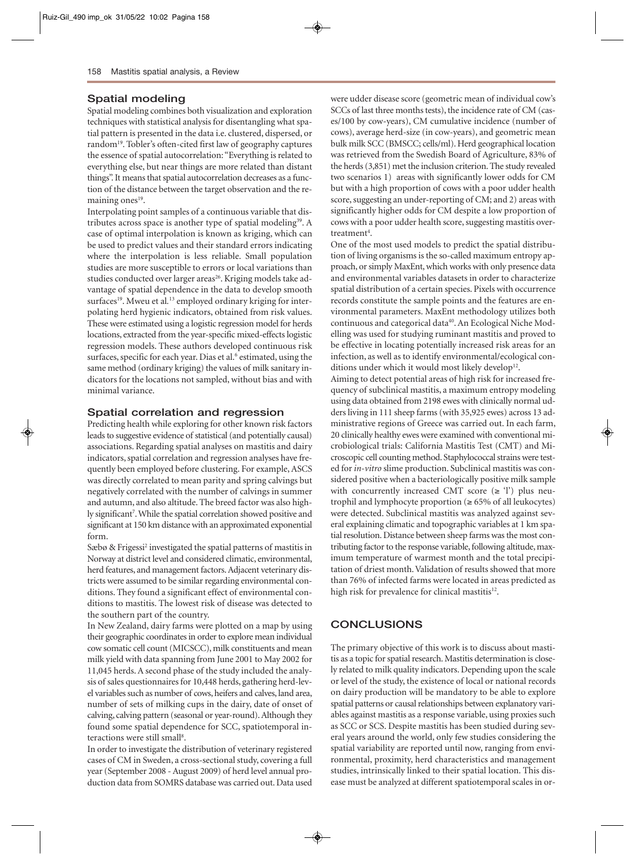#### **Spatial modeling**

Spatial modeling combines both visualization and exploration techniques with statistical analysis for disentangling what spatial pattern is presented in the data i.e. clustered, dispersed, or random<sup>19</sup>. Tobler's often-cited first law of geography captures the essence of spatial autocorrelation: "Everything is related to everything else, but near things are more related than distant things". It means that spatial autocorrelation decreases as a function of the distance between the target observation and the remaining ones<sup>19</sup>.

Interpolating point samples of a continuous variable that distributes across space is another type of spatial modeling<sup>39</sup>. A case of optimal interpolation is known as kriging, which can be used to predict values and their standard errors indicating where the interpolation is less reliable. Small population studies are more susceptible to errors or local variations than studies conducted over larger areas<sup>26</sup>. Kriging models take advantage of spatial dependence in the data to develop smooth surfaces<sup>19</sup>. Mweu et al.<sup>13</sup> employed ordinary kriging for interpolating herd hygienic indicators, obtained from risk values. These were estimated using a logistic regression model for herds locations, extracted from the year-specific mixed-effects logistic regression models. These authors developed continuous risk surfaces, specific for each year. Dias et al.<sup>6</sup> estimated, using the same method (ordinary kriging) the values of milk sanitary indicators for the locations not sampled, without bias and with minimal variance.

#### **Spatial correlation and regression**

Predicting health while exploring for other known risk factors leads to suggestive evidence of statistical (and potentially causal) associations. Regarding spatial analyses on mastitis and dairy indicators, spatial correlation and regression analyses have frequently been employed before clustering. For example, ASCS was directly correlated to mean parity and spring calvings but negatively correlated with the number of calvings in summer and autumn, and also altitude. The breed factor was also highly significant<sup>7</sup>. While the spatial correlation showed positive and significant at 150 km distance with an approximated exponential form.

Sæbø & Frigessi<sup>2</sup> investigated the spatial patterns of mastitis in Norway at district level and considered climatic, environmental, herd features, and management factors. Adjacent veterinary districts were assumed to be similar regarding environmental conditions. They found a significant effect of environmental conditions to mastitis. The lowest risk of disease was detected to the southern part of the country.

In New Zealand, dairy farms were plotted on a map by using their geographic coordinates in order to explore mean individual cow somatic cell count (MICSCC), milk constituents and mean milk yield with data spanning from June 2001 to May 2002 for 11,045 herds. A second phase of the study included the analysis of sales questionnaires for 10,448 herds, gathering herd-level variables such as number of cows, heifers and calves, land area, number of sets of milking cups in the dairy, date of onset of calving, calving pattern (seasonal or year-round). Although they found some spatial dependence for SCC, spatiotemporal interactions were still small<sup>8</sup>.

In order to investigate the distribution of veterinary registered cases of CM in Sweden, a cross-sectional study, covering a full year (September 2008 - August 2009) of herd level annual production data from SOMRS database was carried out. Data used were udder disease score (geometric mean of individual cow's SCCs of last three months tests), the incidence rate of CM (cases/100 by cow-years), CM cumulative incidence (number of cows), average herd-size (in cow-years), and geometric mean bulk milk SCC (BMSCC; cells/ml). Herd geographical location was retrieved from the Swedish Board of Agriculture, 83% of the herds (3,851) met the inclusion criterion. The study revealed two scenarios 1) areas with significantly lower odds for CM but with a high proportion of cows with a poor udder health score, suggesting an under-reporting of CM; and 2) areas with significantly higher odds for CM despite a low proportion of cows with a poor udder health score, suggesting mastitis overtreatment<sup>4</sup>.

One of the most used models to predict the spatial distribution of living organisms is the so-called maximum entropy approach, or simply MaxEnt, which works with only presence data and environmental variables datasets in order to characterize spatial distribution of a certain species. Pixels with occurrence records constitute the sample points and the features are environmental parameters. MaxEnt methodology utilizes both continuous and categorical data<sup>40</sup>. An Ecological Niche Modelling was used for studying ruminant mastitis and proved to be effective in locating potentially increased risk areas for an infection, as well as to identify environmental/ecological conditions under which it would most likely develop<sup>12</sup>.

Aiming to detect potential areas of high risk for increased frequency of subclinical mastitis, a maximum entropy modeling using data obtained from 2198 ewes with clinically normal udders living in 111 sheep farms (with 35,925 ewes) across 13 administrative regions of Greece was carried out. In each farm, 20 clinically healthy ewes were examined with conventional microbiological trials: California Mastitis Test (CMT) and Microscopic cell counting method. Staphylococcal strains were tested for *in-vitro* slime production. Subclinical mastitis was considered positive when a bacteriologically positive milk sample with concurrently increased CMT score  $(\geq 1)$  plus neutrophil and lymphocyte proportion (≥ 65% of all leukocytes) were detected. Subclinical mastitis was analyzed against several explaining climatic and topographic variables at 1 km spatial resolution. Distance between sheep farms was the most contributing factor to the response variable, following altitude, maximum temperature of warmest month and the total precipitation of driest month. Validation of results showed that more than 76% of infected farms were located in areas predicted as high risk for prevalence for clinical mastitis $12$ .

#### **CONCLUSIONS**

The primary objective of this work is to discuss about mastitis as a topic for spatial research. Mastitis determination is closely related to milk quality indicators. Depending upon the scale or level of the study, the existence of local or national records on dairy production will be mandatory to be able to explore spatial patterns or causal relationships between explanatory variables against mastitis as a response variable, using proxies such as SCC or SCS. Despite mastitis has been studied during several years around the world, only few studies considering the spatial variability are reported until now, ranging from environmental, proximity, herd characteristics and management studies, intrinsically linked to their spatial location. This disease must be analyzed at different spatiotemporal scales in or-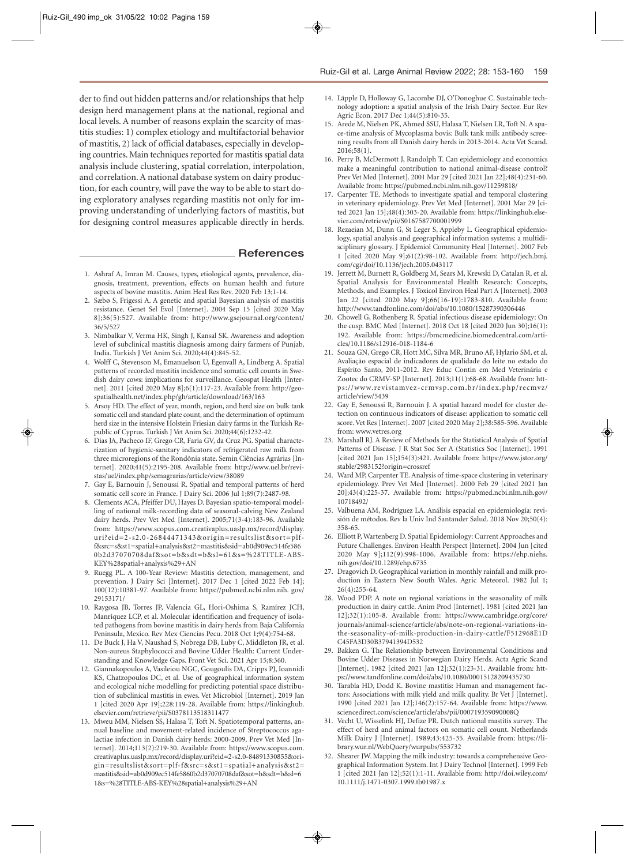der to find out hidden patterns and/or relationships that help design herd management plans at the national, regional and local levels. A number of reasons explain the scarcity of mastitis studies: 1) complex etiology and multifactorial behavior of mastitis, 2) lack of official databases, especially in developing countries. Main techniques reported for mastitis spatial data analysis include clustering, spatial correlation, interpolation, and correlation. A national database system on dairy production, for each country, will pave the way to be able to start doing exploratory analyses regarding mastitis not only for improving understanding of underlying factors of mastitis, but for designing control measures applicable directly in herds.

#### **References**

- 1. Ashraf A, Imran M. Causes, types, etiological agents, prevalence, diagnosis, treatment, prevention, effects on human health and future aspects of bovine mastitis. Anim Heal Res Rev. 2020 Feb 13;1-14.
- 2. Sæbø S, Frigessi A. A genetic and spatial Bayesian analysis of mastitis resistance. Genet Sel Evol [Internet]. 2004 Sep 15 [cited 2020 May 8];36(5):527. Available from: http://www.gsejournal.org/content/ 36/5/527
- 3. Nimbalkar V, Verma HK, Singh J, Kansal SK. Awareness and adoption level of subclinical mastitis diagnosis among dairy farmers of Punjab, India. Turkish J Vet Anim Sci. 2020;44(4):845-52.
- 4. Wolff C, Stevenson M, Emanuelson U, Egenvall A, Lindberg A. Spatial patterns of recorded mastitis incidence and somatic cell counts in Swedish dairy cows: implications for surveillance. Geospat Health [Internet]. 2011 [cited 2020 May 8];6(1):117-23. Available from: http://geospatialhealth.net/index.php/gh/article/download/163/163
- 5. Arsoy HD. The effect of year, month, region, and herd size on bulk tank somatic cell and standard plate count, and the determination of optimum herd size in the intensive Holstein Friesian dairy farms in the Turkish Republic of Cyprus. Turkish J Vet Anim Sci. 2020;44(6):1232-42.
- 6. Dias JA, Pacheco IF, Grego CR, Faria GV, da Cruz PG. Spatial characterization of hygienic-sanitary indicators of refrigerated raw milk from three microregions of the Rondônia state. Semin Ciências Agrárias [Internet]. 2020;41(5):2195-208. Available from: http://www.uel.br/revistas/uel/index.php/semagrarias/article/view/38089
- 7. Gay E, Barnouin J, Senoussi R. Spatial and temporal patterns of herd somatic cell score in France. J Dairy Sci. 2006 Jul 1;89(7):2487-98.
- 8. Clements ACA, Pfeiffer DU, Hayes D. Bayesian spatio-temporal modelling of national milk-recording data of seasonal-calving New Zealand dairy herds. Prev Vet Med [Internet]. 2005;71(3-4):183-96. Available from: https://www.scopus.com.creativaplus.uaslp.mx/record/display. uri?eid=2-s2.0-26844471343&origin=resultslist&sort=plff&src=s&st1=spatial+analysis&st2=mastitis&sid=ab0d909ec514fe586 0b2d37070708daf&sot=b&sdt=b&sl=61&s=%28TITLE-ABS-KEY%28spatial+analysis%29+AN
- 9. Ruegg PL. A 100-Year Review: Mastitis detection, management, and prevention. J Dairy Sci [Internet]. 2017 Dec 1 [cited 2022 Feb 14]; 100(12):10381-97. Available from: https://pubmed.ncbi.nlm.nih. gov/ 29153171/
- 10. Raygosa JB, Torres JP, Valencia GL, Hori-Oshima S, Ramírez JCH, Manríquez LCP, et al. Molecular identification and frequency of isolated pathogens from bovine mastitis in dairy herds from Baja California Peninsula, Mexico. Rev Mex Ciencias Pecu. 2018 Oct 1;9(4):754-68.
- 11. De Buck J, Ha V, Naushad S, Nobrega DB, Luby C, Middleton JR, et al. Non-aureus Staphylococci and Bovine Udder Health: Current Understanding and Knowledge Gaps. Front Vet Sci. 2021 Apr 15;8:360.
- 12. Giannakopoulos A, Vasileiou NGC, Gougoulis DA, Cripps PJ, Ioannidi KS, Chatzopoulos DC, et al. Use of geographical information system and ecological niche modelling for predicting potential space distribution of subclinical mastitis in ewes. Vet Microbiol [Internet]. 2019 Jan 1 [cited 2020 Apr 19];228:119-28. Available from: https://linkinghub. elsevier.com/retrieve/pii/S0378113518311477
- 13. Mweu MM, Nielsen SS, Halasa T, Toft N. Spatiotemporal patterns, annual baseline and movement-related incidence of Streptococcus agalactiae infection in Danish dairy herds: 2000-2009. Prev Vet Med [Internet]. 2014;113(2):219-30. Available from: https://www.scopus.com. creativaplus.uaslp.mx/record/display.uri?eid=2-s2.0-84891330855&origin=resultslist&sort=plf-f&src=s&st1=spatial+analysis&st2= mastitis&sid=ab0d909ec514fe5860b2d37070708daf&sot=b&sdt=b&sl=6 1&s=%28TITLE-ABS-KEY%28spatial+analysis%29+AN
- 14. Läpple D, Holloway G, Lacombe DJ, O'Donoghue C. Sustainable technology adoption: a spatial analysis of the Irish Dairy Sector. Eur Rev Agric Econ. 2017 Dec 1;44(5):810-35.
- 15. Arede M, Nielsen PK, Ahmed SSU, Halasa T, Nielsen LR, Toft N. A space-time analysis of Mycoplasma bovis: Bulk tank milk antibody screening results from all Danish dairy herds in 2013-2014. Acta Vet Scand. 2016;58(1).
- 16. Perry B, McDermott J, Randolph T. Can epidemiology and economics make a meaningful contribution to national animal-disease control? Prev Vet Med [Internet]. 2001 Mar 29 [cited 2021 Jan 22];48(4):231-60. Available from: https://pubmed.ncbi.nlm.nih.gov/11259818/
- 17. Carpenter TE. Methods to investigate spatial and temporal clustering in veterinary epidemiology. Prev Vet Med [Internet]. 2001 Mar 29 [cited 2021 Jan 15];48(4):303-20. Available from: https://linkinghub.elsevier.com/retrieve/pii/S0167587700001999
- 18. Rezaeian M, Dunn G, St Leger S, Appleby L. Geographical epidemiology, spatial analysis and geographical information systems: a multidisciplinary glossary. J Epidemiol Community Heal [Internet]. 2007 Feb 1 [cited 2020 May 9];61(2):98-102. Available from: http://jech.bmj. com/cgi/doi/10.1136/jech.2005.043117
- 19. Jerrett M, Burnett R, Goldberg M, Sears M, Krewski D, Catalan R, et al. Spatial Analysis for Environmental Health Research: Concepts, Methods, and Examples. J Toxicol Environ Heal Part A [Internet]. 2003 Jan 22 [cited 2020 May 9];66(16-19):1783-810. Available from: http://www.tandfonline.com/doi/abs/10.1080/15287390306446
- 20. Chowell G, Rothenberg R. Spatial infectious disease epidemiology: On the cusp. BMC Med [Internet]. 2018 Oct 18 [cited 2020 Jun 30];16(1): 192. Available from: https://bmcmedicine.biomedcentral.com/articles/10.1186/s12916-018-1184-6
- 21. Souza GN, Grego CR, Hott MC, Silva MR, Bruno AF, Hylario SM, et al. Avaliação espacial de indicadores de qualidade do leite no estado do Espírito Santo, 2011-2012. Rev Educ Contin em Med Veterinária e Zootec do CRMV-SP [Internet]. 2013;11(1):68-68. Available from: https://www.revistamvez-crmvsp.com.br/index.php/recmvz/ article/view/5439
- 22. Gay E, Senoussi R, Barnouin J. A spatial hazard model for cluster detection on continuous indicators of disease: application to somatic cell score. Vet Res [Internet]. 2007 [cited 2020 May 2];38:585-596. Available from: www.vetres.org
- 23. Marshall RJ. A Review of Methods for the Statistical Analysis of Spatial Patterns of Disease. J R Stat Soc Ser A (Statistics Soc [Internet]. 1991 [cited 2021 Jan 15];154(3):421. Available from: https://www.jstor.org/ stable/2983152?origin=crossref
- 24. Ward MP, Carpenter TE. Analysis of time-space clustering in veterinary epidemiology. Prev Vet Med [Internet]. 2000 Feb 29 [cited 2021 Jan 20];43(4):225-37. Available from: https://pubmed.ncbi.nlm.nih.gov/ 10718492/
- 25. Valbuena AM, Rodríguez LA. Análisis espacial en epidemiología: revisión de métodos. Rev la Univ Ind Santander Salud. 2018 Nov 20;50(4): 358-65.
- 26. Elliott P, Wartenberg D. Spatial Epidemiology: Current Approaches and Future Challenges. Environ Health Perspect [Internet]. 2004 Jun [cited 2020 May 9];112(9):998-1006. Available from: https://ehp.niehs. nih.gov/doi/10.1289/ehp.6735
- 27. Dragovich D. Geographical variation in monthly rainfall and milk production in Eastern New South Wales. Agric Meteorol. 1982 Jul 1; 26(4):255-64.
- 28. Wood PDP. A note on regional variations in the seasonality of milk production in dairy cattle. Anim Prod [Internet]. 1981 [cited 2021 Jan 12];32(1):105-8. Available from: https://www.cambridge.org/core/ journals/animal-science/article/abs/note-on-regional-variations-inthe-seasonality-of-milk-production-in-dairy-cattle/F512968E1D C45FA3D30B37941394D532
- 29. Bakken G. The Relationship between Environmental Conditions and Bovine Udder Diseases in Norwegian Dairy Herds. Acta Agric Scand [Internet]. 1982 [cited 2021 Jan 12];32(1):23-31. Available from: https://www.tandfonline.com/doi/abs/10.1080/00015128209435730
- 30. Tarabla HD, Dodd K. Bovine mastitis: Human and management factors: Associations with milk yield and milk quality. Br Vet J [Internet]. 1990 [cited 2021 Jan 12];146(2):157-64. Available from: https://www. sciencedirect.com/science/article/abs/pii/000719359090008Q
- 31. Vecht U, Wisselink HJ, Defize PR. Dutch national mastitis survey. The effect of herd and animal factors on somatic cell count. Netherlands Milk Dairy J [Internet]. 1989;43:425-35. Available from: https://library.wur.nl/WebQuery/wurpubs/553732
- 32. Shearer JW. Mapping the milk industry: towards a comprehensive Geographical Information System. Int J Dairy Technol [Internet]. 1999 Feb 1 [cited 2021 Jan 12];52(1):1-11. Available from: http://doi.wiley.com/ 10.1111/j.1471-0307.1999.tb01987.x